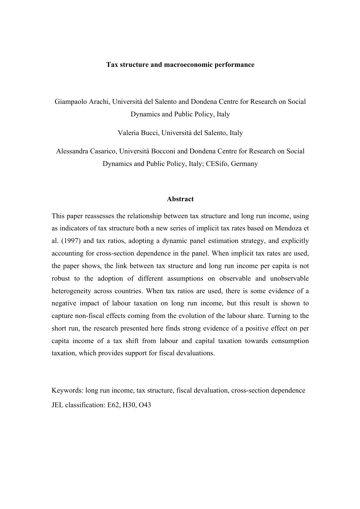#### **Tax structure and macroeconomic performance**

Giampaolo Arachi, Università del Salento and Dondena Centre for Research on Social Dynamics and Public Policy, Italy

Valeria Bucci, Università del Salento, Italy

Alessandra Casarico, Università Bocconi and Dondena Centre for Research on Social Dynamics and Public Policy, Italy; CESifo, Germany

#### **Abstract**

This paper reassesses the relationship between tax structure and long run income, using as indicators of tax structure both a new series of implicit tax rates based on Mendoza et al. (1997) and tax ratios, adopting a dynamic panel estimation strategy, and explicitly accounting for cross-section dependence in the panel. When implicit tax rates are used, the paper shows, the link between tax structure and long run income per capita is not robust to the adoption of different assumptions on observable and unobservable heterogeneity across countries. When tax ratios are used, there is some evidence of a negative impact of labour taxation on long run income, but this result is shown to capture non-fiscal effects coming from the evolution of the labour share. Turning to the short run, the research presented here finds strong evidence of a positive effect on per capita income of a tax shift from labour and capital taxation towards consumption taxation, which provides support for fiscal devaluations.

Keywords: long run income, tax structure, fiscal devaluation, cross-section dependence JEL classification: E62, H30, O43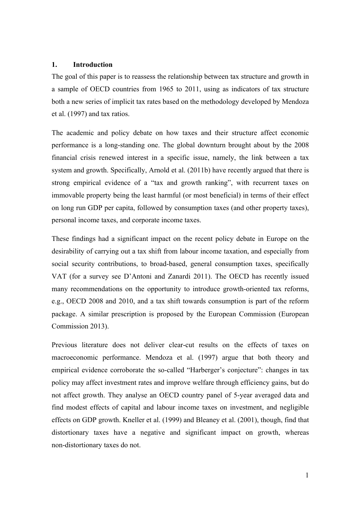# **1. Introduction**

The goal of this paper is to reassess the relationship between tax structure and growth in a sample of OECD countries from 1965 to 2011, using as indicators of tax structure both a new series of implicit tax rates based on the methodology developed by Mendoza et al. (1997) and tax ratios.

The academic and policy debate on how taxes and their structure affect economic performance is a long-standing one. The global downturn brought about by the 2008 financial crisis renewed interest in a specific issue, namely, the link between a tax system and growth. Specifically, Arnold et al. (2011b) have recently argued that there is strong empirical evidence of a "tax and growth ranking", with recurrent taxes on immovable property being the least harmful (or most beneficial) in terms of their effect on long run GDP per capita, followed by consumption taxes (and other property taxes), personal income taxes, and corporate income taxes.

These findings had a significant impact on the recent policy debate in Europe on the desirability of carrying out a tax shift from labour income taxation, and especially from social security contributions, to broad-based, general consumption taxes, specifically VAT (for a survey see D'Antoni and Zanardi 2011). The OECD has recently issued many recommendations on the opportunity to introduce growth-oriented tax reforms, e.g., OECD 2008 and 2010, and a tax shift towards consumption is part of the reform package. A similar prescription is proposed by the European Commission (European Commission 2013).

Previous literature does not deliver clear-cut results on the effects of taxes on macroeconomic performance. Mendoza et al. (1997) argue that both theory and empirical evidence corroborate the so-called "Harberger's conjecture": changes in tax policy may affect investment rates and improve welfare through efficiency gains, but do not affect growth. They analyse an OECD country panel of 5-year averaged data and find modest effects of capital and labour income taxes on investment, and negligible effects on GDP growth. Kneller et al. (1999) and Bleaney et al. (2001), though, find that distortionary taxes have a negative and significant impact on growth, whereas non-distortionary taxes do not.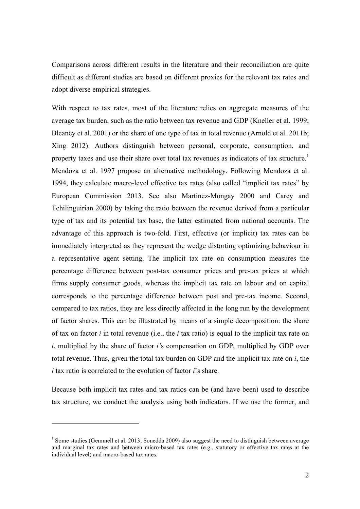Comparisons across different results in the literature and their reconciliation are quite difficult as different studies are based on different proxies for the relevant tax rates and adopt diverse empirical strategies.

With respect to tax rates, most of the literature relies on aggregate measures of the average tax burden, such as the ratio between tax revenue and GDP (Kneller et al. 1999; Bleaney et al. 2001) or the share of one type of tax in total revenue (Arnold et al. 2011b; Xing 2012). Authors distinguish between personal, corporate, consumption, and property taxes and use their share over total tax revenues as indicators of tax structure.<sup>1</sup> Mendoza et al. 1997 propose an alternative methodology. Following Mendoza et al. 1994, they calculate macro-level effective tax rates (also called "implicit tax rates" by European Commission 2013. See also Martinez-Mongay 2000 and Carey and Tchilinguirian 2000) by taking the ratio between the revenue derived from a particular type of tax and its potential tax base, the latter estimated from national accounts. The advantage of this approach is two-fold. First, effective (or implicit) tax rates can be immediately interpreted as they represent the wedge distorting optimizing behaviour in a representative agent setting. The implicit tax rate on consumption measures the percentage difference between post-tax consumer prices and pre-tax prices at which firms supply consumer goods, whereas the implicit tax rate on labour and on capital corresponds to the percentage difference between post and pre-tax income. Second, compared to tax ratios, they are less directly affected in the long run by the development of factor shares. This can be illustrated by means of a simple decomposition: the share of tax on factor *i* in total revenue (i.e., the *i* tax ratio) is equal to the implicit tax rate on *i*, multiplied by the share of factor *i'*s compensation on GDP, multiplied by GDP over total revenue. Thus, given the total tax burden on GDP and the implicit tax rate on *i*, the *i* tax ratio is correlated to the evolution of factor *i*'s share.

Because both implicit tax rates and tax ratios can be (and have been) used to describe tax structure, we conduct the analysis using both indicators. If we use the former, and

 $1$  Some studies (Gemmell et al. 2013; Sonedda 2009) also suggest the need to distinguish between average and marginal tax rates and between micro-based tax rates (e.g., statutory or effective tax rates at the individual level) and macro-based tax rates.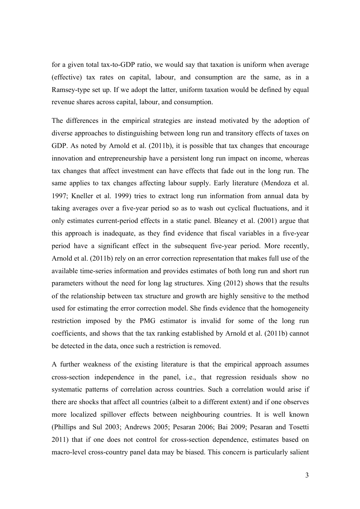for a given total tax-to-GDP ratio, we would say that taxation is uniform when average (effective) tax rates on capital, labour, and consumption are the same, as in a Ramsey-type set up. If we adopt the latter, uniform taxation would be defined by equal revenue shares across capital, labour, and consumption.

The differences in the empirical strategies are instead motivated by the adoption of diverse approaches to distinguishing between long run and transitory effects of taxes on GDP. As noted by Arnold et al. (2011b), it is possible that tax changes that encourage innovation and entrepreneurship have a persistent long run impact on income, whereas tax changes that affect investment can have effects that fade out in the long run. The same applies to tax changes affecting labour supply. Early literature (Mendoza et al. 1997; Kneller et al. 1999) tries to extract long run information from annual data by taking averages over a five-year period so as to wash out cyclical fluctuations, and it only estimates current-period effects in a static panel. Bleaney et al. (2001) argue that this approach is inadequate, as they find evidence that fiscal variables in a five-year period have a significant effect in the subsequent five-year period. More recently, Arnold et al. (2011b) rely on an error correction representation that makes full use of the available time-series information and provides estimates of both long run and short run parameters without the need for long lag structures. Xing (2012) shows that the results of the relationship between tax structure and growth are highly sensitive to the method used for estimating the error correction model. She finds evidence that the homogeneity restriction imposed by the PMG estimator is invalid for some of the long run coefficients, and shows that the tax ranking established by Arnold et al. (2011b) cannot be detected in the data, once such a restriction is removed.

A further weakness of the existing literature is that the empirical approach assumes cross-section independence in the panel, i.e., that regression residuals show no systematic patterns of correlation across countries. Such a correlation would arise if there are shocks that affect all countries (albeit to a different extent) and if one observes more localized spillover effects between neighbouring countries. It is well known (Phillips and Sul 2003; Andrews 2005; Pesaran 2006; Bai 2009; Pesaran and Tosetti 2011) that if one does not control for cross-section dependence, estimates based on macro-level cross-country panel data may be biased. This concern is particularly salient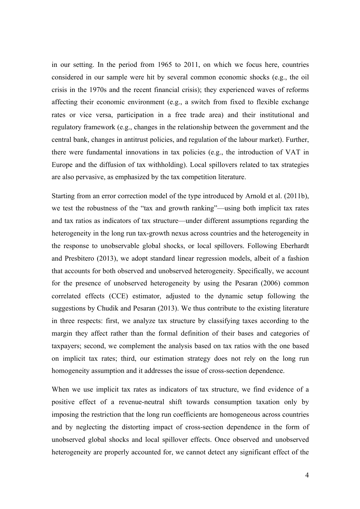in our setting. In the period from 1965 to 2011, on which we focus here, countries considered in our sample were hit by several common economic shocks (e.g., the oil crisis in the 1970s and the recent financial crisis); they experienced waves of reforms affecting their economic environment (e.g., a switch from fixed to flexible exchange rates or vice versa, participation in a free trade area) and their institutional and regulatory framework (e.g., changes in the relationship between the government and the central bank, changes in antitrust policies, and regulation of the labour market). Further, there were fundamental innovations in tax policies (e.g., the introduction of VAT in Europe and the diffusion of tax withholding). Local spillovers related to tax strategies are also pervasive, as emphasized by the tax competition literature.

Starting from an error correction model of the type introduced by Arnold et al. (2011b), we test the robustness of the "tax and growth ranking"—using both implicit tax rates and tax ratios as indicators of tax structure—under different assumptions regarding the heterogeneity in the long run tax-growth nexus across countries and the heterogeneity in the response to unobservable global shocks, or local spillovers. Following Eberhardt and Presbitero (2013), we adopt standard linear regression models, albeit of a fashion that accounts for both observed and unobserved heterogeneity. Specifically, we account for the presence of unobserved heterogeneity by using the Pesaran (2006) common correlated effects (CCE) estimator, adjusted to the dynamic setup following the suggestions by Chudik and Pesaran (2013). We thus contribute to the existing literature in three respects: first, we analyze tax structure by classifying taxes according to the margin they affect rather than the formal definition of their bases and categories of taxpayers; second, we complement the analysis based on tax ratios with the one based on implicit tax rates; third, our estimation strategy does not rely on the long run homogeneity assumption and it addresses the issue of cross-section dependence.

When we use implicit tax rates as indicators of tax structure, we find evidence of a positive effect of a revenue-neutral shift towards consumption taxation only by imposing the restriction that the long run coefficients are homogeneous across countries and by neglecting the distorting impact of cross-section dependence in the form of unobserved global shocks and local spillover effects. Once observed and unobserved heterogeneity are properly accounted for, we cannot detect any significant effect of the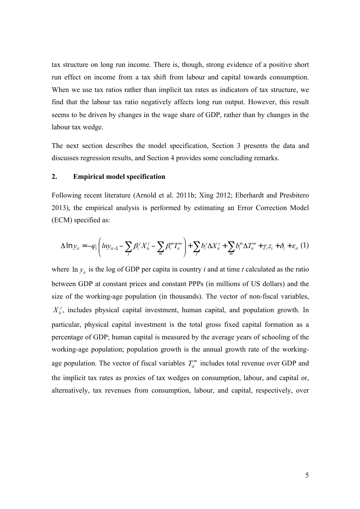tax structure on long run income. There is, though, strong evidence of a positive short run effect on income from a tax shift from labour and capital towards consumption. When we use tax ratios rather than implicit tax rates as indicators of tax structure, we find that the labour tax ratio negatively affects long run output. However, this result seems to be driven by changes in the wage share of GDP, rather than by changes in the labour tax wedge.

The next section describes the model specification, Section 3 presents the data and discusses regression results, and Section 4 provides some concluding remarks.

# **2. Empirical model specification**

Following recent literature (Arnold et al. 2011b; Xing 2012; Eberhardt and Presbitero 2013), the empirical analysis is performed by estimating an Error Correction Model (ECM) specified as:

$$
\Delta \ln y_{it} = -\varphi_i \left( \ln y_{it-1} - \sum_j \beta_i^j X_{it}^j - \sum_m \beta_i^m T_{it}^m \right) + \sum_j b_i^j \Delta X_{it}^j + \sum_m b_i^m \Delta T_{it}^m + \gamma_i z_t + \delta_i + \varepsilon_{it} \tag{1}
$$

where  $\ln y_i$  is the log of GDP per capita in country *i* and at time *t* calculated as the ratio between GDP at constant prices and constant PPPs (in millions of US dollars) and the size of the working-age population (in thousands). The vector of non-fiscal variables,  $X_{ii}^j$ , includes physical capital investment, human capital, and population growth. In particular, physical capital investment is the total gross fixed capital formation as a percentage of GDP; human capital is measured by the average years of schooling of the working-age population; population growth is the annual growth rate of the workingage population. The vector of fiscal variables  $T_{it}^{m}$  includes total revenue over GDP and the implicit tax rates as proxies of tax wedges on consumption, labour, and capital or, alternatively, tax revenues from consumption, labour, and capital, respectively, over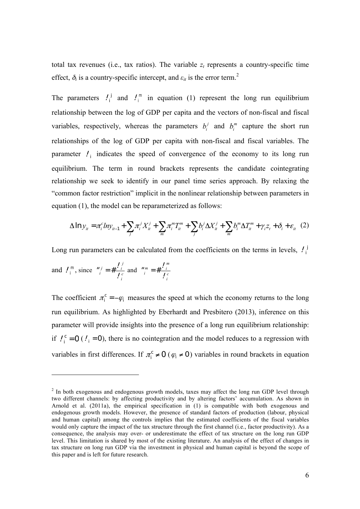total tax revenues (i.e., tax ratios). The variable  $z_t$  represents a country-specific time effect,  $\delta_i$  is a country-specific intercept, and  $\varepsilon_{it}$  is the error term.<sup>2</sup>

The parameters  $\frac{f_i}{f_i}$  and  $\frac{f_i^m}{f_i}$  in equation (1) represent the long run equilibrium relationship between the log of GDP per capita and the vectors of non-fiscal and fiscal variables, respectively, whereas the parameters  $b_i^j$  and  $b_i^m$  capture the short run relationships of the log of GDP per capita with non-fiscal and fiscal variables. The parameter  $\ell_i$  indicates the speed of convergence of the economy to its long run equilibrium. The term in round brackets represents the candidate cointegrating relationship we seek to identify in our panel time series approach. By relaxing the "common factor restriction" implicit in the nonlinear relationship between parameters in equation (1), the model can be reparameterized as follows:

$$
\Delta \ln y_{it} = \pi_i^c \ln y_{it-1} + \sum_j \pi_i^j X_{it}^j + \sum_m \pi_i^m T_{it}^m + \sum_j b_i^j \Delta X_{it}^j + \sum_m b_i^m \Delta T_{it}^m + \gamma_i z_t + \delta_i + \varepsilon_{it} \tag{2}
$$

Long run parameters can be calculated from the coefficients on the terms in levels,  $\frac{1}{n}$ 

and 
$$
I_i^m
$$
, since  $\beta_i^j = \# \frac{I_i^j}{I_i^c}$  and  $\beta_i^m = \# \frac{I_i^m}{I_i^c}$ 

 $\overline{a}$ 

The coefficient  $\pi_i^c = -\varphi_i$  measures the speed at which the economy returns to the long run equilibrium. As highlighted by Eberhardt and Presbitero (2013), inference on this parameter will provide insights into the presence of a long run equilibrium relationship: if  $f_i^c = 0$  ( $f_i = 0$ ), there is no cointegration and the model reduces to a regression with variables in first differences. If  $\pi_i^c \neq 0$  ( $\varphi_i \neq 0$ ) variables in round brackets in equation

 $<sup>2</sup>$  In both exogenous and endogenous growth models, taxes may affect the long run GDP level through</sup> two different channels: by affecting productivity and by altering factors' accumulation. As shown in Arnold et al. (2011a), the empirical specification in (1) is compatible with both exogenous and endogenous growth models. However, the presence of standard factors of production (labour, physical and human capital) among the controls implies that the estimated coefficients of the fiscal variables would only capture the impact of the tax structure through the first channel (i.e., factor productivity). As a consequence, the analysis may over- or underestimate the effect of tax structure on the long run GDP level. This limitation is shared by most of the existing literature. An analysis of the effect of changes in tax structure on long run GDP via the investment in physical and human capital is beyond the scope of this paper and is left for future research.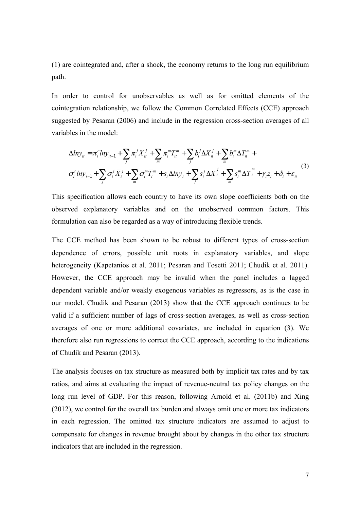(1) are cointegrated and, after a shock, the economy returns to the long run equilibrium path.

In order to control for unobservables as well as for omitted elements of the cointegration relationship, we follow the Common Correlated Effects (CCE) approach suggested by Pesaran (2006) and include in the regression cross-section averages of all variables in the model:

$$
\Delta l n y_{it} = \pi_i^c l n y_{it-1} + \sum_j \pi_i^j X_{it}^j + \sum_m \pi_i^m T_{it}^m + \sum_j b_i^j \Delta X_{it}^j + \sum_m b_i^m \Delta T_{it}^m +
$$
  

$$
\sigma_i^c \overline{l n y}_{t-1} + \sum_j \sigma_i^j \overline{X}_i^j + \sum_m \sigma_i^m \overline{T}_i^m + s_i \overline{\Delta l n y}_t + \sum_j s_i^j \overline{\Delta X}_i^j + \sum_m s_i^m \overline{\Delta T}_i^m + \gamma_i z_t + \delta_i + \varepsilon_{it}
$$
<sup>(3)</sup>

This specification allows each country to have its own slope coefficients both on the observed explanatory variables and on the unobserved common factors. This formulation can also be regarded as a way of introducing flexible trends.

The CCE method has been shown to be robust to different types of cross-section dependence of errors, possible unit roots in explanatory variables, and slope heterogeneity (Kapetanios et al. 2011; Pesaran and Tosetti 2011; Chudik et al. 2011). However, the CCE approach may be invalid when the panel includes a lagged dependent variable and/or weakly exogenous variables as regressors, as is the case in our model. Chudik and Pesaran (2013) show that the CCE approach continues to be valid if a sufficient number of lags of cross-section averages, as well as cross-section averages of one or more additional covariates, are included in equation (3). We therefore also run regressions to correct the CCE approach, according to the indications of Chudik and Pesaran (2013).

The analysis focuses on tax structure as measured both by implicit tax rates and by tax ratios, and aims at evaluating the impact of revenue-neutral tax policy changes on the long run level of GDP. For this reason, following Arnold et al. (2011b) and Xing (2012), we control for the overall tax burden and always omit one or more tax indicators in each regression. The omitted tax structure indicators are assumed to adjust to compensate for changes in revenue brought about by changes in the other tax structure indicators that are included in the regression.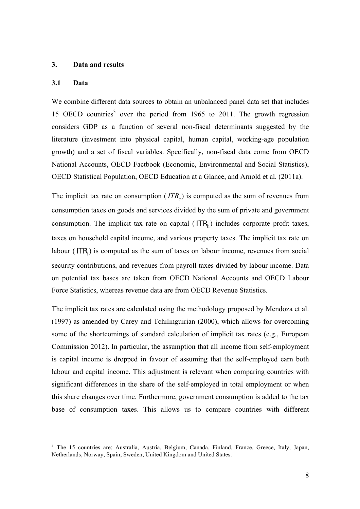## **3. Data and results**

### **3.1 Data**

 $\overline{a}$ 

We combine different data sources to obtain an unbalanced panel data set that includes 15 OECD countries<sup>3</sup> over the period from 1965 to 2011. The growth regression considers GDP as a function of several non-fiscal determinants suggested by the literature (investment into physical capital, human capital, working-age population growth) and a set of fiscal variables. Specifically, non-fiscal data come from OECD National Accounts, OECD Factbook (Economic, Environmental and Social Statistics), OECD Statistical Population, OECD Education at a Glance, and Arnold et al. (2011a).

The implicit tax rate on consumption  $(ITR_2)$  is computed as the sum of revenues from consumption taxes on goods and services divided by the sum of private and government consumption. The implicit tax rate on capital  $(ITR<sub>i</sub>)$  includes corporate profit taxes, taxes on household capital income, and various property taxes. The implicit tax rate on labour (*ITR*) is computed as the sum of taxes on labour income, revenues from social security contributions, and revenues from payroll taxes divided by labour income. Data on potential tax bases are taken from OECD National Accounts and OECD Labour Force Statistics, whereas revenue data are from OECD Revenue Statistics.

The implicit tax rates are calculated using the methodology proposed by Mendoza et al. (1997) as amended by Carey and Tchilinguirian (2000), which allows for overcoming some of the shortcomings of standard calculation of implicit tax rates (e.g., European Commission 2012). In particular, the assumption that all income from self-employment is capital income is dropped in favour of assuming that the self-employed earn both labour and capital income. This adjustment is relevant when comparing countries with significant differences in the share of the self-employed in total employment or when this share changes over time. Furthermore, government consumption is added to the tax base of consumption taxes. This allows us to compare countries with different

<sup>&</sup>lt;sup>3</sup> The 15 countries are: Australia, Austria, Belgium, Canada, Finland, France, Greece, Italy, Japan, Netherlands, Norway, Spain, Sweden, United Kingdom and United States.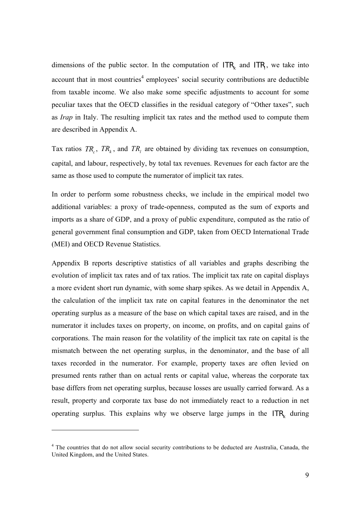dimensions of the public sector. In the computation of  $ITR<sub>k</sub>$  and  $ITR<sub>l</sub>$ , we take into account that in most countries<sup>4</sup> employees' social security contributions are deductible from taxable income. We also make some specific adjustments to account for some peculiar taxes that the OECD classifies in the residual category of "Other taxes", such as *Irap* in Italy. The resulting implicit tax rates and the method used to compute them are described in Appendix A.

Tax ratios  $TR_{\alpha}$ ,  $TR_{\mu}$ , and  $TR_{\mu}$  are obtained by dividing tax revenues on consumption, capital, and labour, respectively, by total tax revenues. Revenues for each factor are the same as those used to compute the numerator of implicit tax rates.

In order to perform some robustness checks, we include in the empirical model two additional variables: a proxy of trade-openness, computed as the sum of exports and imports as a share of GDP, and a proxy of public expenditure, computed as the ratio of general government final consumption and GDP, taken from OECD International Trade (MEI) and OECD Revenue Statistics.

Appendix B reports descriptive statistics of all variables and graphs describing the evolution of implicit tax rates and of tax ratios. The implicit tax rate on capital displays a more evident short run dynamic, with some sharp spikes. As we detail in Appendix A, the calculation of the implicit tax rate on capital features in the denominator the net operating surplus as a measure of the base on which capital taxes are raised, and in the numerator it includes taxes on property, on income, on profits, and on capital gains of corporations. The main reason for the volatility of the implicit tax rate on capital is the mismatch between the net operating surplus, in the denominator, and the base of all taxes recorded in the numerator. For example, property taxes are often levied on presumed rents rather than on actual rents or capital value, whereas the corporate tax base differs from net operating surplus, because losses are usually carried forward. As a result, property and corporate tax base do not immediately react to a reduction in net operating surplus. This explains why we observe large jumps in the  $ITR<sub>k</sub>$  during

<sup>&</sup>lt;sup>4</sup> The countries that do not allow social security contributions to be deducted are Australia, Canada, the United Kingdom, and the United States.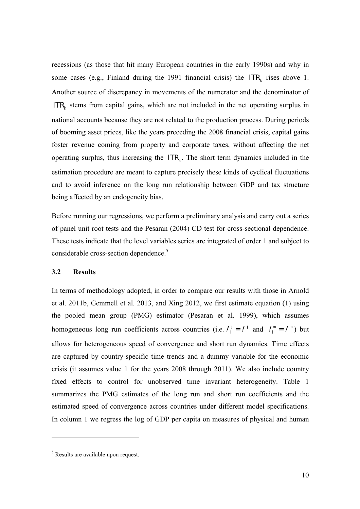recessions (as those that hit many European countries in the early 1990s) and why in some cases (e.g., Finland during the 1991 financial crisis) the  $ITR<sub>k</sub>$  rises above 1. Another source of discrepancy in movements of the numerator and the denominator of  $ITR<sub>k</sub>$  stems from capital gains, which are not included in the net operating surplus in national accounts because they are not related to the production process. During periods of booming asset prices, like the years preceding the 2008 financial crisis, capital gains foster revenue coming from property and corporate taxes, without affecting the net operating surplus, thus increasing the  $ITR<sub>k</sub>$ . The short term dynamics included in the estimation procedure are meant to capture precisely these kinds of cyclical fluctuations and to avoid inference on the long run relationship between GDP and tax structure being affected by an endogeneity bias.

Before running our regressions, we perform a preliminary analysis and carry out a series of panel unit root tests and the Pesaran (2004) CD test for cross-sectional dependence. These tests indicate that the level variables series are integrated of order 1 and subject to considerable cross-section dependence.<sup>5</sup>

#### **3.2 Results**

In terms of methodology adopted, in order to compare our results with those in Arnold et al. 2011b, Gemmell et al. 2013, and Xing 2012, we first estimate equation (1) using the pooled mean group (PMG) estimator (Pesaran et al. 1999), which assumes homogeneous long run coefficients across countries (i.e.  $I_i^j = I_j^j$  and  $I_i^m = I_j^m$ ) but allows for heterogeneous speed of convergence and short run dynamics. Time effects are captured by country-specific time trends and a dummy variable for the economic crisis (it assumes value 1 for the years 2008 through 2011). We also include country fixed effects to control for unobserved time invariant heterogeneity. Table 1 summarizes the PMG estimates of the long run and short run coefficients and the estimated speed of convergence across countries under different model specifications. In column 1 we regress the log of GDP per capita on measures of physical and human

<sup>&</sup>lt;sup>5</sup> Results are available upon request.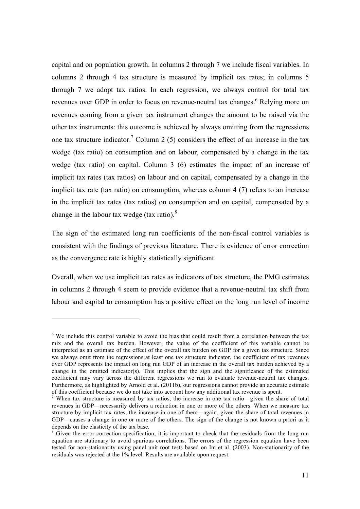capital and on population growth. In columns 2 through 7 we include fiscal variables. In columns 2 through 4 tax structure is measured by implicit tax rates; in columns 5 through 7 we adopt tax ratios. In each regression, we always control for total tax revenues over GDP in order to focus on revenue-neutral tax changes.<sup>6</sup> Relying more on revenues coming from a given tax instrument changes the amount to be raised via the other tax instruments: this outcome is achieved by always omitting from the regressions one tax structure indicator.<sup>7</sup> Column 2 (5) considers the effect of an increase in the tax wedge (tax ratio) on consumption and on labour, compensated by a change in the tax wedge (tax ratio) on capital. Column 3 (6) estimates the impact of an increase of implicit tax rates (tax ratios) on labour and on capital, compensated by a change in the implicit tax rate (tax ratio) on consumption, whereas column 4 (7) refers to an increase in the implicit tax rates (tax ratios) on consumption and on capital, compensated by a change in the labour tax wedge (tax ratio). $8$ 

The sign of the estimated long run coefficients of the non-fiscal control variables is consistent with the findings of previous literature. There is evidence of error correction as the convergence rate is highly statistically significant.

Overall, when we use implicit tax rates as indicators of tax structure, the PMG estimates in columns 2 through 4 seem to provide evidence that a revenue-neutral tax shift from labour and capital to consumption has a positive effect on the long run level of income

<sup>&</sup>lt;sup>6</sup> We include this control variable to avoid the bias that could result from a correlation between the tax mix and the overall tax burden. However, the value of the coefficient of this variable cannot be interpreted as an estimate of the effect of the overall tax burden on GDP for a given tax structure. Since we always omit from the regressions at least one tax structure indicator, the coefficient of tax revenues over GDP represents the impact on long run GDP of an increase in the overall tax burden achieved by a change in the omitted indicator(s). This implies that the sign and the significance of the estimated coefficient may vary across the different regressions we run to evaluate revenue-neutral tax changes. Furthermore, as highlighted by Arnold et al. (2011b), our regressions cannot provide an accurate estimate of this coefficient because we do not take into account how any additional tax revenue is spent.

<sup>&</sup>lt;sup>7</sup> When tax structure is measured by tax ratios, the increase in one tax ratio—given the share of total revenues in GDP—necessarily delivers a reduction in one or more of the others. When we measure tax structure by implicit tax rates, the increase in one of them—again, given the share of total revenues in GDP—causes a change in one or more of the others. The sign of the change is not known a priori as it depends on the elasticity of the tax base.

 $8\,$  Given the error-correction specification, it is important to check that the residuals from the long run equation are stationary to avoid spurious correlations. The errors of the regression equation have been tested for non-stationarity using panel unit root tests based on Im et al. (2003). Non-stationarity of the residuals was rejected at the 1% level. Results are available upon request.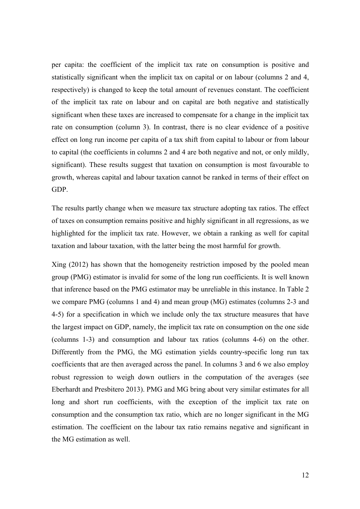per capita: the coefficient of the implicit tax rate on consumption is positive and statistically significant when the implicit tax on capital or on labour (columns 2 and 4, respectively) is changed to keep the total amount of revenues constant. The coefficient of the implicit tax rate on labour and on capital are both negative and statistically significant when these taxes are increased to compensate for a change in the implicit tax rate on consumption (column 3). In contrast, there is no clear evidence of a positive effect on long run income per capita of a tax shift from capital to labour or from labour to capital (the coefficients in columns 2 and 4 are both negative and not, or only mildly, significant). These results suggest that taxation on consumption is most favourable to growth, whereas capital and labour taxation cannot be ranked in terms of their effect on GDP.

The results partly change when we measure tax structure adopting tax ratios. The effect of taxes on consumption remains positive and highly significant in all regressions, as we highlighted for the implicit tax rate. However, we obtain a ranking as well for capital taxation and labour taxation, with the latter being the most harmful for growth.

Xing (2012) has shown that the homogeneity restriction imposed by the pooled mean group (PMG) estimator is invalid for some of the long run coefficients. It is well known that inference based on the PMG estimator may be unreliable in this instance. In Table 2 we compare PMG (columns 1 and 4) and mean group (MG) estimates (columns 2-3 and 4-5) for a specification in which we include only the tax structure measures that have the largest impact on GDP, namely, the implicit tax rate on consumption on the one side (columns 1-3) and consumption and labour tax ratios (columns 4-6) on the other. Differently from the PMG, the MG estimation yields country-specific long run tax coefficients that are then averaged across the panel. In columns 3 and 6 we also employ robust regression to weigh down outliers in the computation of the averages (see Eberhardt and Presbitero 2013). PMG and MG bring about very similar estimates for all long and short run coefficients, with the exception of the implicit tax rate on consumption and the consumption tax ratio, which are no longer significant in the MG estimation. The coefficient on the labour tax ratio remains negative and significant in the MG estimation as well.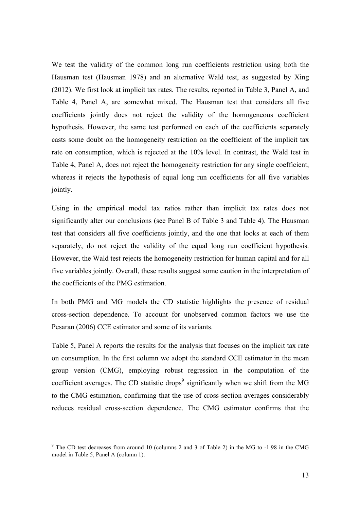We test the validity of the common long run coefficients restriction using both the Hausman test (Hausman 1978) and an alternative Wald test, as suggested by Xing (2012). We first look at implicit tax rates. The results, reported in Table 3, Panel A, and Table 4, Panel A, are somewhat mixed. The Hausman test that considers all five coefficients jointly does not reject the validity of the homogeneous coefficient hypothesis. However, the same test performed on each of the coefficients separately casts some doubt on the homogeneity restriction on the coefficient of the implicit tax rate on consumption, which is rejected at the 10% level. In contrast, the Wald test in Table 4, Panel A, does not reject the homogeneity restriction for any single coefficient, whereas it rejects the hypothesis of equal long run coefficients for all five variables jointly.

Using in the empirical model tax ratios rather than implicit tax rates does not significantly alter our conclusions (see Panel B of Table 3 and Table 4). The Hausman test that considers all five coefficients jointly, and the one that looks at each of them separately, do not reject the validity of the equal long run coefficient hypothesis. However, the Wald test rejects the homogeneity restriction for human capital and for all five variables jointly. Overall, these results suggest some caution in the interpretation of the coefficients of the PMG estimation.

In both PMG and MG models the CD statistic highlights the presence of residual cross-section dependence. To account for unobserved common factors we use the Pesaran (2006) CCE estimator and some of its variants.

Table 5, Panel A reports the results for the analysis that focuses on the implicit tax rate on consumption. In the first column we adopt the standard CCE estimator in the mean group version (CMG), employing robust regression in the computation of the coefficient averages. The CD statistic drops<sup>9</sup> significantly when we shift from the MG to the CMG estimation, confirming that the use of cross-section averages considerably reduces residual cross-section dependence. The CMG estimator confirms that the

 $9$  The CD test decreases from around 10 (columns 2 and 3 of Table 2) in the MG to -1.98 in the CMG model in Table 5, Panel A (column 1).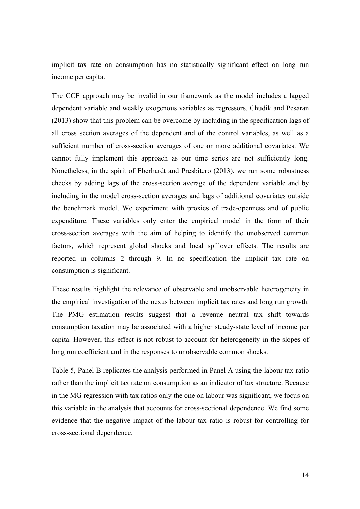implicit tax rate on consumption has no statistically significant effect on long run income per capita.

The CCE approach may be invalid in our framework as the model includes a lagged dependent variable and weakly exogenous variables as regressors. Chudik and Pesaran (2013) show that this problem can be overcome by including in the specification lags of all cross section averages of the dependent and of the control variables, as well as a sufficient number of cross-section averages of one or more additional covariates. We cannot fully implement this approach as our time series are not sufficiently long. Nonetheless, in the spirit of Eberhardt and Presbitero (2013), we run some robustness checks by adding lags of the cross-section average of the dependent variable and by including in the model cross-section averages and lags of additional covariates outside the benchmark model. We experiment with proxies of trade-openness and of public expenditure. These variables only enter the empirical model in the form of their cross-section averages with the aim of helping to identify the unobserved common factors, which represent global shocks and local spillover effects. The results are reported in columns 2 through 9. In no specification the implicit tax rate on consumption is significant.

These results highlight the relevance of observable and unobservable heterogeneity in the empirical investigation of the nexus between implicit tax rates and long run growth. The PMG estimation results suggest that a revenue neutral tax shift towards consumption taxation may be associated with a higher steady-state level of income per capita. However, this effect is not robust to account for heterogeneity in the slopes of long run coefficient and in the responses to unobservable common shocks.

Table 5, Panel B replicates the analysis performed in Panel A using the labour tax ratio rather than the implicit tax rate on consumption as an indicator of tax structure. Because in the MG regression with tax ratios only the one on labour was significant, we focus on this variable in the analysis that accounts for cross-sectional dependence. We find some evidence that the negative impact of the labour tax ratio is robust for controlling for cross-sectional dependence.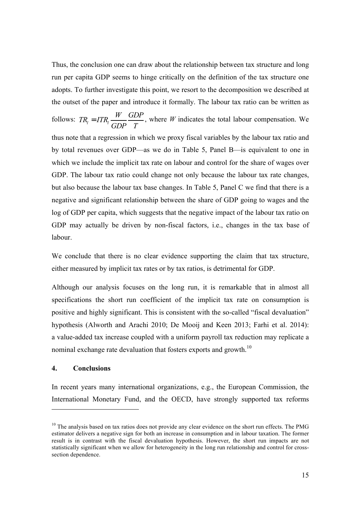Thus, the conclusion one can draw about the relationship between tax structure and long run per capita GDP seems to hinge critically on the definition of the tax structure one adopts. To further investigate this point, we resort to the decomposition we described at the outset of the paper and introduce it formally. The labour tax ratio can be written as

follows:  $TR_i = ITR_i \frac{W}{GDP} \frac{GDP}{T}$ , where *W* indicates the total labour compensation. We thus note that a regression in which we proxy fiscal variables by the labour tax ratio and by total revenues over GDP—as we do in Table 5, Panel B—is equivalent to one in which we include the implicit tax rate on labour and control for the share of wages over GDP. The labour tax ratio could change not only because the labour tax rate changes, but also because the labour tax base changes. In Table 5, Panel C we find that there is a negative and significant relationship between the share of GDP going to wages and the log of GDP per capita, which suggests that the negative impact of the labour tax ratio on GDP may actually be driven by non-fiscal factors, i.e., changes in the tax base of labour.

We conclude that there is no clear evidence supporting the claim that tax structure, either measured by implicit tax rates or by tax ratios, is detrimental for GDP.

Although our analysis focuses on the long run, it is remarkable that in almost all specifications the short run coefficient of the implicit tax rate on consumption is positive and highly significant. This is consistent with the so-called "fiscal devaluation" hypothesis (Alworth and Arachi 2010; De Mooij and Keen 2013; Farhi et al. 2014): a value-added tax increase coupled with a uniform payroll tax reduction may replicate a nominal exchange rate devaluation that fosters exports and growth.<sup>10</sup>

# **4. Conclusions**

 $\overline{a}$ 

In recent years many international organizations, e.g., the European Commission, the International Monetary Fund, and the OECD, have strongly supported tax reforms

 $10$  The analysis based on tax ratios does not provide any clear evidence on the short run effects. The PMG estimator delivers a negative sign for both an increase in consumption and in labour taxation. The former result is in contrast with the fiscal devaluation hypothesis. However, the short run impacts are not statistically significant when we allow for heterogeneity in the long run relationship and control for crosssection dependence.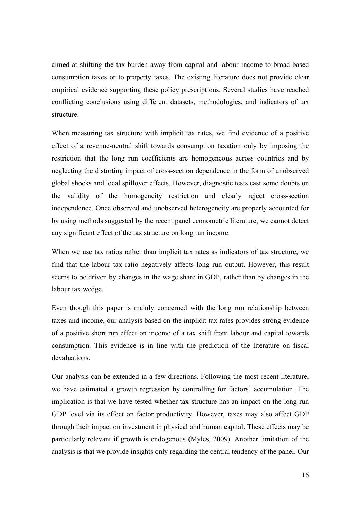aimed at shifting the tax burden away from capital and labour income to broad-based consumption taxes or to property taxes. The existing literature does not provide clear empirical evidence supporting these policy prescriptions. Several studies have reached conflicting conclusions using different datasets, methodologies, and indicators of tax structure.

When measuring tax structure with implicit tax rates, we find evidence of a positive effect of a revenue-neutral shift towards consumption taxation only by imposing the restriction that the long run coefficients are homogeneous across countries and by neglecting the distorting impact of cross-section dependence in the form of unobserved global shocks and local spillover effects. However, diagnostic tests cast some doubts on the validity of the homogeneity restriction and clearly reject cross-section independence. Once observed and unobserved heterogeneity are properly accounted for by using methods suggested by the recent panel econometric literature, we cannot detect any significant effect of the tax structure on long run income.

When we use tax ratios rather than implicit tax rates as indicators of tax structure, we find that the labour tax ratio negatively affects long run output. However, this result seems to be driven by changes in the wage share in GDP, rather than by changes in the labour tax wedge.

Even though this paper is mainly concerned with the long run relationship between taxes and income, our analysis based on the implicit tax rates provides strong evidence of a positive short run effect on income of a tax shift from labour and capital towards consumption. This evidence is in line with the prediction of the literature on fiscal devaluations.

Our analysis can be extended in a few directions. Following the most recent literature, we have estimated a growth regression by controlling for factors' accumulation. The implication is that we have tested whether tax structure has an impact on the long run GDP level via its effect on factor productivity. However, taxes may also affect GDP through their impact on investment in physical and human capital. These effects may be particularly relevant if growth is endogenous (Myles, 2009). Another limitation of the analysis is that we provide insights only regarding the central tendency of the panel. Our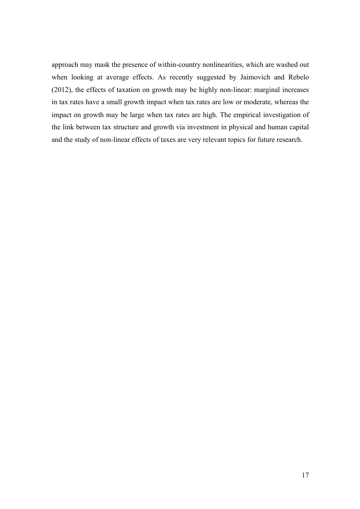approach may mask the presence of within-country nonlinearities, which are washed out when looking at average effects. As recently suggested by Jaimovich and Rebelo (2012), the effects of taxation on growth may be highly non-linear: marginal increases in tax rates have a small growth impact when tax rates are low or moderate, whereas the impact on growth may be large when tax rates are high. The empirical investigation of the link between tax structure and growth via investment in physical and human capital and the study of non-linear effects of taxes are very relevant topics for future research.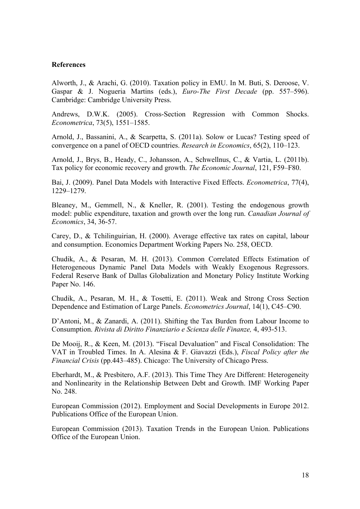### **References**

Alworth, J., & Arachi, G. (2010). Taxation policy in EMU. In M. Buti, S. Deroose, V. Gaspar & J. Nogueria Martins (eds.), *Euro-The First Decade* (pp. 557–596). Cambridge: Cambridge University Press.

Andrews, D.W.K. (2005). Cross-Section Regression with Common Shocks. *Econometrica*, 73(5), 1551–1585.

Arnold, J., Bassanini, A., & Scarpetta, S. (2011a). Solow or Lucas? Testing speed of convergence on a panel of OECD countries. *Research in Economics*, 65(2), 110–123.

Arnold, J., Brys, B., Heady, C., Johansson, A., Schwellnus, C., & Vartia, L. (2011b). Tax policy for economic recovery and growth. *The Economic Journal*, 121, F59–F80.

Bai, J. (2009). Panel Data Models with Interactive Fixed Effects. *Econometrica*, 77(4), 1229–1279.

Bleaney, M., Gemmell, N., & Kneller, R. (2001). Testing the endogenous growth model: public expenditure, taxation and growth over the long run. *Canadian Journal of Economics*, 34, 36-57.

Carey, D., & Tchilinguirian, H. (2000). Average effective tax rates on capital, labour and consumption. Economics Department Working Papers No. 258, OECD.

Chudik, A., & Pesaran, M. H. (2013). Common Correlated Effects Estimation of Heterogeneous Dynamic Panel Data Models with Weakly Exogenous Regressors. Federal Reserve Bank of Dallas Globalization and Monetary Policy Institute Working Paper No. 146.

Chudik, A., Pesaran, M. H., & Tosetti, E. (2011). Weak and Strong Cross Section Dependence and Estimation of Large Panels. *Econometrics Journal*, 14(1), C45–C90.

D'Antoni, M., & Zanardi, A. (2011). Shifting the Tax Burden from Labour Income to Consumption. *Rivista di Diritto Finanziario e Scienza delle Finanze,* 4, 493-513.

De Mooij, R., & Keen, M. (2013). "Fiscal Devaluation" and Fiscal Consolidation: The VAT in Troubled Times. In A. Alesina & F. Giavazzi (Eds.), *Fiscal Policy after the Financial Crisis* (pp.443–485). Chicago: The University of Chicago Press.

Eberhardt, M., & Presbitero, A.F. (2013). This Time They Are Different: Heterogeneity and Nonlinearity in the Relationship Between Debt and Growth. IMF Working Paper No. 248.

European Commission (2012). Employment and Social Developments in Europe 2012. Publications Office of the European Union.

European Commission (2013). Taxation Trends in the European Union. Publications Office of the European Union.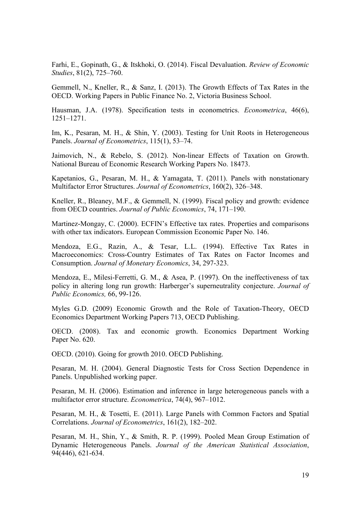Farhi, E., Gopinath, G., & Itskhoki, O. (2014). Fiscal Devaluation. *Review of Economic Studies*, 81(2), 725–760.

Gemmell, N., Kneller, R., & Sanz, I. (2013). The Growth Effects of Tax Rates in the OECD. Working Papers in Public Finance No. 2, Victoria Business School.

Hausman, J.A. (1978). Specification tests in econometrics. *Econometrica*, 46(6), 1251–1271.

Im, K., Pesaran, M. H., & Shin, Y. (2003). Testing for Unit Roots in Heterogeneous Panels. *Journal of Econometrics*, 115(1), 53–74.

Jaimovich, N., & Rebelo, S. (2012). Non-linear Effects of Taxation on Growth. National Bureau of Economic Research Working Papers No. 18473.

Kapetanios, G., Pesaran, M. H., & Yamagata, T. (2011). Panels with nonstationary Multifactor Error Structures. *Journal of Econometrics*, 160(2), 326–348.

Kneller, R., Bleaney, M.F., & Gemmell, N. (1999). Fiscal policy and growth: evidence from OECD countries. *Journal of Public Economics*, 74, 171–190.

Martinez-Mongay, C. (2000). ECFIN's Effective tax rates. Properties and comparisons with other tax indicators. European Commission Economic Paper No. 146.

Mendoza, E.G., Razin, A., & Tesar, L.L. (1994). Effective Tax Rates in Macroeconomics: Cross-Country Estimates of Tax Rates on Factor Incomes and Consumption. *Journal of Monetary Economics*, 34, 297-323.

Mendoza, E., Milesi-Ferretti, G. M., & Asea, P. (1997). On the ineffectiveness of tax policy in altering long run growth: Harberger's superneutrality conjecture. *Journal of Public Economics,* 66, 99-126.

Myles G.D. (2009) Economic Growth and the Role of Taxation-Theory, OECD Economics Department Working Papers 713, OECD Publishing.

OECD. (2008). Tax and economic growth. Economics Department Working Paper No. 620.

OECD. (2010). Going for growth 2010. OECD Publishing.

Pesaran, M. H. (2004). General Diagnostic Tests for Cross Section Dependence in Panels. Unpublished working paper.

Pesaran, M. H. (2006). Estimation and inference in large heterogeneous panels with a multifactor error structure. *Econometrica*, 74(4), 967–1012.

Pesaran, M. H., & Tosetti, E. (2011). Large Panels with Common Factors and Spatial Correlations. *Journal of Econometrics*, 161(2), 182–202.

Pesaran, M. H., Shin, Y., & Smith, R. P. (1999). Pooled Mean Group Estimation of Dynamic Heterogeneous Panels. *Journal of the American Statistical Association*, 94(446), 621-634.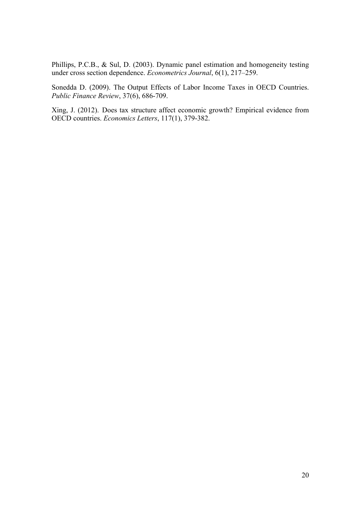Phillips, P.C.B., & Sul, D. (2003). Dynamic panel estimation and homogeneity testing under cross section dependence. *Econometrics Journal*, 6(1), 217–259.

Sonedda D. (2009). The Output Effects of Labor Income Taxes in OECD Countries. *Public Finance Review*, 37(6), 686-709.

Xing, J. (2012). Does tax structure affect economic growth? Empirical evidence from OECD countries. *Economics Letters*, 117(1), 379-382.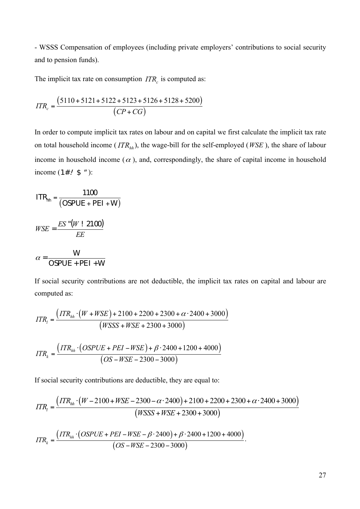- WSSS Compensation of employees (including private employers' contributions to social security and to pension funds).

The implicit tax rate on consumption  $ITR<sub>c</sub>$  is computed as:

$$
ITR_c = \frac{(5110 + 5121 + 5122 + 5123 + 5126 + 5128 + 5200)}{(CP + CG)}
$$

In order to compute implicit tax rates on labour and on capital we first calculate the implicit tax rate on total household income (*ITR*<sub>hh</sub>), the wage-bill for the self-employed (*WSE*), the share of labour income in household income ( $\alpha$ ), and, correspondingly, the share of capital income in household income  $(1# / \$$  " ):

$$
ITR_{hh} = \frac{1100}{(OSPUE + PEI + W)}
$$

$$
WSE = \frac{ES^*(W \perp 2100)}{EE}
$$

$$
\alpha = \frac{W}{OSPUE + PEI + W}
$$

If social security contributions are not deductible, the implicit tax rates on capital and labour are computed as:

$$
ITR_{i} = \frac{(ITR_{hh} \cdot (W + WSE) + 2100 + 2200 + 2300 + \alpha \cdot 2400 + 3000)}{(WSSS + WSE + 2300 + 3000)}
$$

$$
ITR_{k} = \frac{(ITR_{hh} \cdot (OSPUE + PEI - WSE) + \beta \cdot 2400 + 1200 + 4000)}{(OS - WSE - 2300 - 3000)}
$$

If social security contributions are deductible, they are equal to:

$$
ITR_{l} = \frac{(ITR_{hh} \cdot (W - 2100 + WSE - 2300 - \alpha \cdot 2400) + 2100 + 2200 + 2300 + \alpha \cdot 2400 + 3000)}{(WSSS + WSE + 2300 + 3000)}
$$

$$
ITR_{k} = \frac{(ITR_{hh} \cdot (OSPUE + PEI - WSE - \beta \cdot 2400) + \beta \cdot 2400 + 1200 + 4000)}{(OS - WSE - 2300 - 3000)}.
$$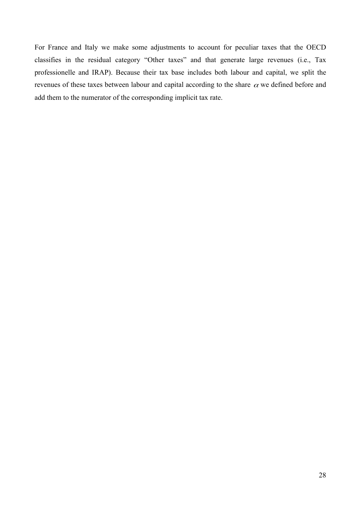For France and Italy we make some adjustments to account for peculiar taxes that the OECD classifies in the residual category "Other taxes" and that generate large revenues (i.e., Tax professionelle and IRAP). Because their tax base includes both labour and capital, we split the revenues of these taxes between labour and capital according to the share  $\alpha$  we defined before and add them to the numerator of the corresponding implicit tax rate.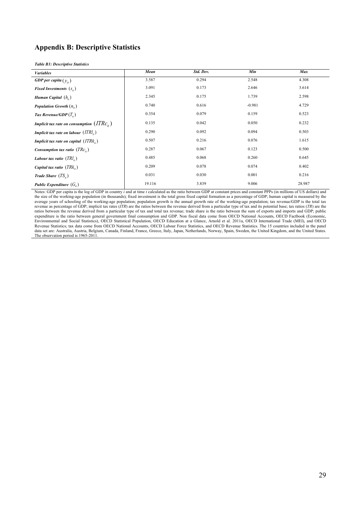# **Appendix B: Descriptive Statistics**

*Table B1: Descriptive Statistics*

| <b>Variables</b>                                  | Mean   | Std. Dev. | Min      | <b>Max</b> |
|---------------------------------------------------|--------|-----------|----------|------------|
| <b>GDP</b> per capita $(y_{it})$                  | 3.587  | 0.294     | 2.548    | 4.308      |
| <b>Fixed Investments</b> $(s_{ii})$               | 3.091  | 0.173     | 2.646    | 3.614      |
| Human Capital $(h_{ii})$                          | 2.345  | 0.175     | 1.739    | 2.598      |
| <b>Population Growth</b> $(n_{ii})$               | 0.740  | 0.616     | $-0.981$ | 4.729      |
| Tax Revenue/GDP $(T_n)$                           | 0.354  | 0.079     | 0.159    | 0.523      |
| Implicit tax rate on consumption $(ITRC_{it})$    | 0.135  | 0.042     | 0.050    | 0.232      |
| <b>Implicit tax rate on labour</b> $(ITRI_{ii})$  | 0.290  | 0.092     | 0.094    | 0.503      |
| <b>Implicit tax rate on capital</b> $(ITRk_{ii})$ | 0.507  | 0.216     | 0.076    | 1.615      |
| Consumption tax ratio $(TRc_{ii})$                | 0.287  | 0.067     | 0.123    | 0.500      |
| Labour tax ratio $(TRl_{ii})$                     | 0.485  | 0.068     | 0.260    | 0.645      |
| Capital tax ratio $(\text{TRk}_{ii})$             | 0.209  | 0.078     | 0.074    | 0.402      |
| <i>Trade Share</i> $(TS_n)$                       | 0.031  | 0.030     | 0.001    | 0.216      |
| <b>Public Expenditure</b> $(G_{ii})$              | 19.116 | 3.839     | 9.006    | 28.987     |

Notes: GDP per capita is the log of GDP in country *i* and at time *t* calculated as the ratio between GDP at constant prices and constant PPPs (in millions of US dollars) and the size of the working-age population (in thousands); fixed investment is the total gross fixed capital formation as a percentage of GDP; human capital is measured by the average years of schooling of the working-age population; population growth is the annual growth rate of the working-age population; tax revenue/GDP is the total tax revenue as percentage of GDP; implicit tax rates (*ITR*) ratios between the revenue derived from a particular type of tax and total tax revenue; trade share is the ratio between the sum of exports and imports and GDP; public expenditure is the ratio between general government final consumption and GDP. Non fiscal data come from OECD National Accounts, OECD Factbook (Economic,<br>Environmental and Social Statistics), OECD Statistical Population, O Revenue Statistics; tax data come from OECD National Accounts, OECD Labour Force Statistics, and OECD Revenue Statistics. The 15 countries included in the panel<br>data set are: Australia, Austria, Belgium, Canada, Finland, F The observation period is 1965-2011.